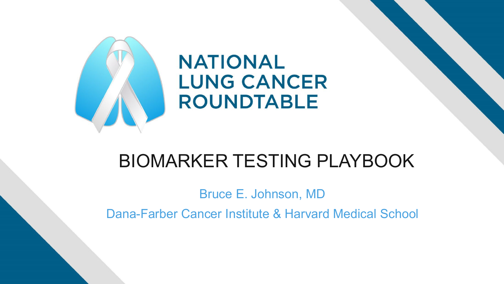

## BIOMARKER TESTING PLAYBOOK

Bruce E. Johnson, MD

Dana-Farber Cancer Institute & Harvard Medical School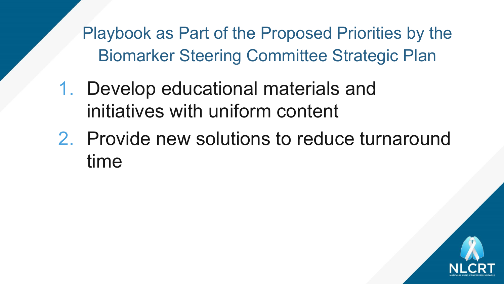- 1. Develop educational materials and initiatives with uniform content
- 2. Provide new solutions to reduce turnaround time

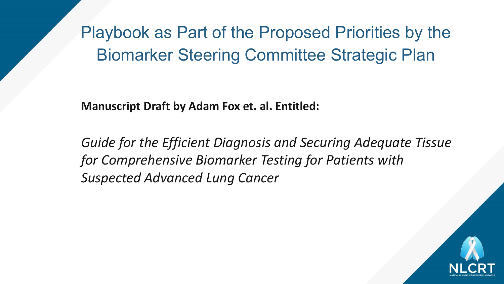**Manuscript Draft by Adam Fox et. al. Entitled:**

*Guide for the Efficient Diagnosis and Securing Adequate Tissue for Comprehensive Biomarker Testing for Patients with Suspected Advanced Lung Cancer*

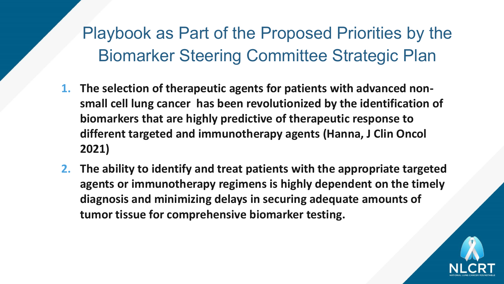- **1. The selection of therapeutic agents for patients with advanced nonsmall cell lung cancer has been revolutionized by the identification of biomarkers that are highly predictive of therapeutic response to different targeted and immunotherapy agents (Hanna, J Clin Oncol 2021)**
- **2. The ability to identify and treat patients with the appropriate targeted agents or immunotherapy regimens is highly dependent on the timely diagnosis and minimizing delays in securing adequate amounts of tumor tissue for comprehensive biomarker testing.**

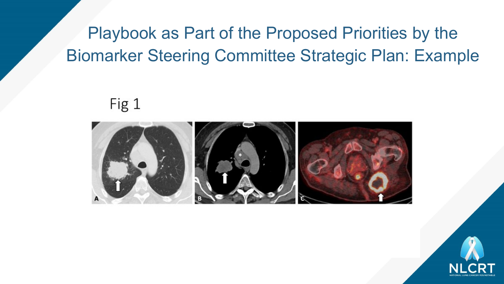Fig 1